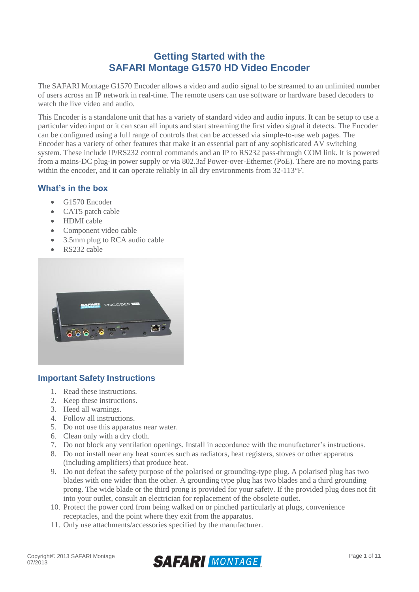# **Getting Started with the SAFARI Montage G1570 HD Video Encoder**

The SAFARI Montage G1570 Encoder allows a video and audio signal to be streamed to an unlimited number of users across an IP network in real-time. The remote users can use software or hardware based decoders to watch the live video and audio.

This Encoder is a standalone unit that has a variety of standard video and audio inputs. It can be setup to use a particular video input or it can scan all inputs and start streaming the first video signal it detects. The Encoder can be configured using a full range of controls that can be accessed via simple-to-use web pages. The Encoder has a variety of other features that make it an essential part of any sophisticated AV switching system. These include IP/RS232 control commands and an IP to RS232 pass-through COM link. It is powered from a mains-DC plug-in power supply or via 802.3af Power-over-Ethernet (PoE). There are no moving parts within the encoder, and it can operate reliably in all dry environments from 32-113°F.

## **What's in the box**

- G1570 Encoder
- CAT5 patch cable
- HDMI cable
- Component video cable
- 3.5mm plug to RCA audio cable
- RS232 cable



## **Important Safety Instructions**

- 1. Read these instructions.
- 2. Keep these instructions.
- 3. Heed all warnings.
- 4. Follow all instructions.
- 5. Do not use this apparatus near water.
- 6. Clean only with a dry cloth.
- 7. Do not block any ventilation openings. Install in accordance with the manufacturer's instructions.
- 8. Do not install near any heat sources such as radiators, heat registers, stoves or other apparatus (including amplifiers) that produce heat.
- 9. Do not defeat the safety purpose of the polarised or grounding-type plug. A polarised plug has two blades with one wider than the other. A grounding type plug has two blades and a third grounding prong. The wide blade or the third prong is provided for your safety. If the provided plug does not fit into your outlet, consult an electrician for replacement of the obsolete outlet.
- 10. Protect the power cord from being walked on or pinched particularly at plugs, convenience receptacles, and the point where they exit from the apparatus.
- 11. Only use attachments/accessories specified by the manufacturer.

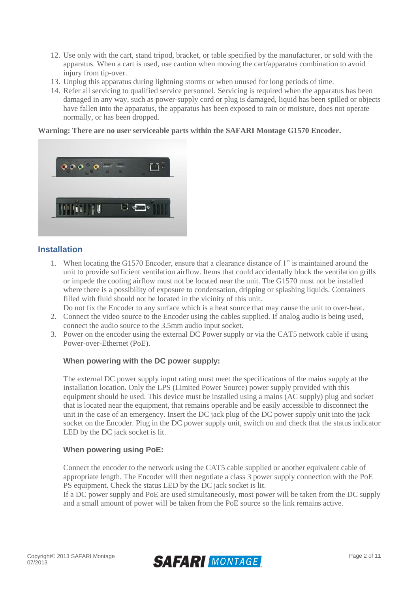- 12. Use only with the cart, stand tripod, bracket, or table specified by the manufacturer, or sold with the apparatus. When a cart is used, use caution when moving the cart/apparatus combination to avoid injury from tip-over.
- 13. Unplug this apparatus during lightning storms or when unused for long periods of time.
- 14. Refer all servicing to qualified service personnel. Servicing is required when the apparatus has been damaged in any way, such as power-supply cord or plug is damaged, liquid has been spilled or objects have fallen into the apparatus, the apparatus has been exposed to rain or moisture, does not operate normally, or has been dropped.

#### **Warning: There are no user serviceable parts within the SAFARI Montage G1570 Encoder.**



## **Installation**

- 1. When locating the G1570 Encoder, ensure that a clearance distance of 1" is maintained around the unit to provide sufficient ventilation airflow. Items that could accidentally block the ventilation grills or impede the cooling airflow must not be located near the unit. The G1570 must not be installed where there is a possibility of exposure to condensation, dripping or splashing liquids. Containers filled with fluid should not be located in the vicinity of this unit.
- Do not fix the Encoder to any surface which is a heat source that may cause the unit to over-heat.
- 2. Connect the video source to the Encoder using the cables supplied. If analog audio is being used, connect the audio source to the 3.5mm audio input socket.
- 3. Power on the encoder using the external DC Power supply or via the CAT5 network cable if using Power-over-Ethernet (PoE).

#### **When powering with the DC power supply:**

The external DC power supply input rating must meet the specifications of the mains supply at the installation location. Only the LPS (Limited Power Source) power supply provided with this equipment should be used. This device must be installed using a mains (AC supply) plug and socket that is located near the equipment, that remains operable and be easily accessible to disconnect the unit in the case of an emergency. Insert the DC jack plug of the DC power supply unit into the jack socket on the Encoder. Plug in the DC power supply unit, switch on and check that the status indicator LED by the DC jack socket is lit.

#### **When powering using PoE:**

Connect the encoder to the network using the CAT5 cable supplied or another equivalent cable of appropriate length. The Encoder will then negotiate a class 3 power supply connection with the PoE PS equipment. Check the status LED by the DC jack socket is lit.

If a DC power supply and PoE are used simultaneously, most power will be taken from the DC supply and a small amount of power will be taken from the PoE source so the link remains active.

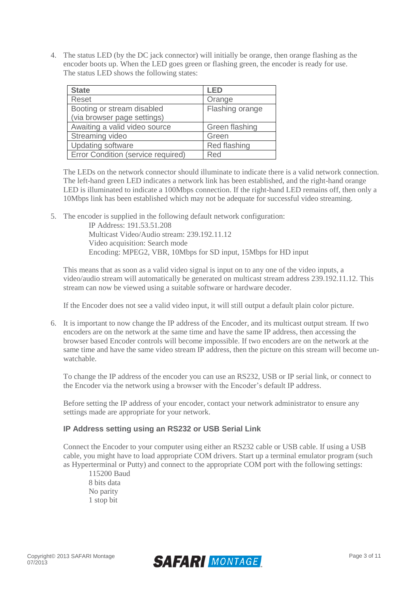4. The status LED (by the DC jack connector) will initially be orange, then orange flashing as the encoder boots up. When the LED goes green or flashing green, the encoder is ready for use. The status LED shows the following states:

| <b>State</b>                       | LED             |
|------------------------------------|-----------------|
| Reset                              | Orange          |
| Booting or stream disabled         | Flashing orange |
| (via browser page settings)        |                 |
| Awaiting a valid video source      | Green flashing  |
| Streaming video                    | Green           |
| <b>Updating software</b>           | Red flashing    |
| Error Condition (service required) | Red             |

The LEDs on the network connector should illuminate to indicate there is a valid network connection. The left-hand green LED indicates a network link has been established, and the right-hand orange LED is illuminated to indicate a 100Mbps connection. If the right-hand LED remains off, then only a 10Mbps link has been established which may not be adequate for successful video streaming.

5. The encoder is supplied in the following default network configuration:

IP Address: 191.53.51.208 Multicast Video/Audio stream: 239.192.11.12 Video acquisition: Search mode Encoding: MPEG2, VBR, 10Mbps for SD input, 15Mbps for HD input

This means that as soon as a valid video signal is input on to any one of the video inputs, a video/audio stream will automatically be generated on multicast stream address 239.192.11.12. This stream can now be viewed using a suitable software or hardware decoder.

If the Encoder does not see a valid video input, it will still output a default plain color picture.

6. It is important to now change the IP address of the Encoder, and its multicast output stream. If two encoders are on the network at the same time and have the same IP address, then accessing the browser based Encoder controls will become impossible. If two encoders are on the network at the same time and have the same video stream IP address, then the picture on this stream will become unwatchable.

To change the IP address of the encoder you can use an RS232, USB or IP serial link, or connect to the Encoder via the network using a browser with the Encoder's default IP address.

Before setting the IP address of your encoder, contact your network administrator to ensure any settings made are appropriate for your network.

## **IP Address setting using an RS232 or USB Serial Link**

Connect the Encoder to your computer using either an RS232 cable or USB cable. If using a USB cable, you might have to load appropriate COM drivers. Start up a terminal emulator program (such as Hyperterminal or Putty) and connect to the appropriate COM port with the following settings:

115200 Baud 8 bits data No parity 1 stop bit

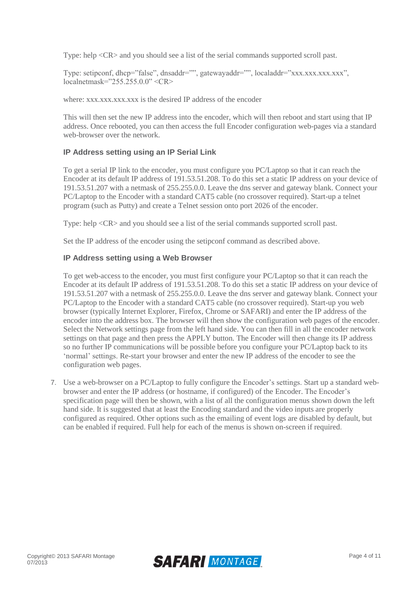Type: help <CR> and you should see a list of the serial commands supported scroll past.

Type: setipconf, dhcp="false", dnsaddr="", gatewayaddr="", localaddr="xxx.xxx.xxx.xxx",  $local net mask="255.255.0.0" < **CR**$ 

where: xxx.xxx.xxx.xxx is the desired IP address of the encoder

This will then set the new IP address into the encoder, which will then reboot and start using that IP address. Once rebooted, you can then access the full Encoder configuration web-pages via a standard web-browser over the network.

### **IP Address setting using an IP Serial Link**

To get a serial IP link to the encoder, you must configure you PC/Laptop so that it can reach the Encoder at its default IP address of 191.53.51.208. To do this set a static IP address on your device of 191.53.51.207 with a netmask of 255.255.0.0. Leave the dns server and gateway blank. Connect your PC/Laptop to the Encoder with a standard CAT5 cable (no crossover required). Start-up a telnet program (such as Putty) and create a Telnet session onto port 2026 of the encoder.

Type: help <CR> and you should see a list of the serial commands supported scroll past.

Set the IP address of the encoder using the setipconf command as described above.

#### **IP Address setting using a Web Browser**

To get web-access to the encoder, you must first configure your PC/Laptop so that it can reach the Encoder at its default IP address of 191.53.51.208. To do this set a static IP address on your device of 191.53.51.207 with a netmask of 255.255.0.0. Leave the dns server and gateway blank. Connect your PC/Laptop to the Encoder with a standard CAT5 cable (no crossover required). Start-up you web browser (typically Internet Explorer, Firefox, Chrome or SAFARI) and enter the IP address of the encoder into the address box. The browser will then show the configuration web pages of the encoder. Select the Network settings page from the left hand side. You can then fill in all the encoder network settings on that page and then press the APPLY button. The Encoder will then change its IP address so no further IP communications will be possible before you configure your PC/Laptop back to its 'normal' settings. Re-start your browser and enter the new IP address of the encoder to see the configuration web pages.

7. Use a web-browser on a PC/Laptop to fully configure the Encoder's settings. Start up a standard webbrowser and enter the IP address (or hostname, if configured) of the Encoder. The Encoder's specification page will then be shown, with a list of all the configuration menus shown down the left hand side. It is suggested that at least the Encoding standard and the video inputs are properly configured as required. Other options such as the emailing of event logs are disabled by default, but can be enabled if required. Full help for each of the menus is shown on-screen if required.

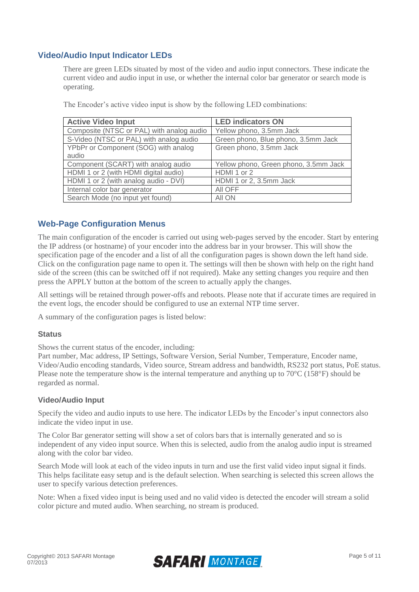## **Video/Audio Input Indicator LEDs**

There are green LEDs situated by most of the video and audio input connectors. These indicate the current video and audio input in use, or whether the internal color bar generator or search mode is operating.

| <b>Active Video Input</b>                 | <b>LED indicators ON</b>              |
|-------------------------------------------|---------------------------------------|
| Composite (NTSC or PAL) with analog audio | Yellow phono, 3.5mm Jack              |
| S-Video (NTSC or PAL) with analog audio   | Green phono, Blue phono, 3.5mm Jack   |
| YPbPr or Component (SOG) with analog      | Green phono, 3.5mm Jack               |
| audio                                     |                                       |
| Component (SCART) with analog audio       | Yellow phono, Green phono, 3.5mm Jack |
| HDMI 1 or 2 (with HDMI digital audio)     | HDMI 1 or 2                           |
| HDMI 1 or 2 (with analog audio - DVI)     | HDMI 1 or 2, 3.5mm Jack               |
| Internal color bar generator              | AII OFF                               |
| Search Mode (no input yet found)          | All ON                                |

The Encoder's active video input is show by the following LED combinations:

## **Web-Page Configuration Menus**

The main configuration of the encoder is carried out using web-pages served by the encoder. Start by entering the IP address (or hostname) of your encoder into the address bar in your browser. This will show the specification page of the encoder and a list of all the configuration pages is shown down the left hand side. Click on the configuration page name to open it. The settings will then be shown with help on the right hand side of the screen (this can be switched off if not required). Make any setting changes you require and then press the APPLY button at the bottom of the screen to actually apply the changes.

All settings will be retained through power-offs and reboots. Please note that if accurate times are required in the event logs, the encoder should be configured to use an external NTP time server.

A summary of the configuration pages is listed below:

### **Status**

Shows the current status of the encoder, including:

Part number, Mac address, IP Settings, Software Version, Serial Number, Temperature, Encoder name, Video/Audio encoding standards, Video source, Stream address and bandwidth, RS232 port status, PoE status. Please note the temperature show is the internal temperature and anything up to 70°C (158°F) should be regarded as normal.

### **Video/Audio Input**

Specify the video and audio inputs to use here. The indicator LEDs by the Encoder's input connectors also indicate the video input in use.

The Color Bar generator setting will show a set of colors bars that is internally generated and so is independent of any video input source. When this is selected, audio from the analog audio input is streamed along with the color bar video.

Search Mode will look at each of the video inputs in turn and use the first valid video input signal it finds. This helps facilitate easy setup and is the default selection. When searching is selected this screen allows the user to specify various detection preferences.

Note: When a fixed video input is being used and no valid video is detected the encoder will stream a solid color picture and muted audio. When searching, no stream is produced.

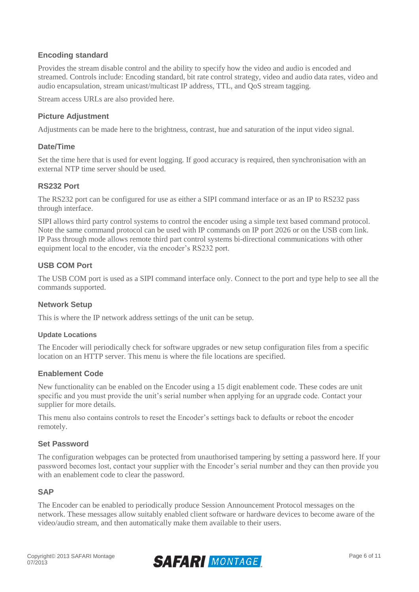## **Encoding standard**

Provides the stream disable control and the ability to specify how the video and audio is encoded and streamed. Controls include: Encoding standard, bit rate control strategy, video and audio data rates, video and audio encapsulation, stream unicast/multicast IP address, TTL, and QoS stream tagging.

Stream access URLs are also provided here.

## **Picture Adjustment**

Adjustments can be made here to the brightness, contrast, hue and saturation of the input video signal.

#### **Date/Time**

Set the time here that is used for event logging. If good accuracy is required, then synchronisation with an external NTP time server should be used.

### **RS232 Port**

The RS232 port can be configured for use as either a SIPI command interface or as an IP to RS232 pass through interface.

SIPI allows third party control systems to control the encoder using a simple text based command protocol. Note the same command protocol can be used with IP commands on IP port 2026 or on the USB com link. IP Pass through mode allows remote third part control systems bi-directional communications with other equipment local to the encoder, via the encoder's RS232 port.

## **USB COM Port**

The USB COM port is used as a SIPI command interface only. Connect to the port and type help to see all the commands supported.

### **Network Setup**

This is where the IP network address settings of the unit can be setup.

#### **Update Locations**

The Encoder will periodically check for software upgrades or new setup configuration files from a specific location on an HTTP server. This menu is where the file locations are specified.

### **Enablement Code**

New functionality can be enabled on the Encoder using a 15 digit enablement code. These codes are unit specific and you must provide the unit's serial number when applying for an upgrade code. Contact your supplier for more details.

This menu also contains controls to reset the Encoder's settings back to defaults or reboot the encoder remotely.

#### **Set Password**

The configuration webpages can be protected from unauthorised tampering by setting a password here. If your password becomes lost, contact your supplier with the Encoder's serial number and they can then provide you with an enablement code to clear the password.

#### **SAP**

The Encoder can be enabled to periodically produce Session Announcement Protocol messages on the network. These messages allow suitably enabled client software or hardware devices to become aware of the video/audio stream, and then automatically make them available to their users.

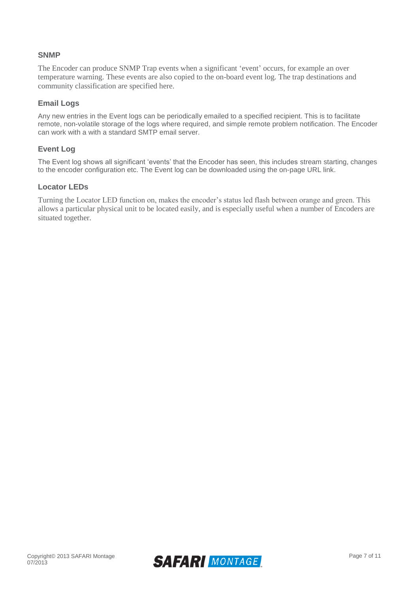### **SNMP**

The Encoder can produce SNMP Trap events when a significant 'event' occurs, for example an over temperature warning. These events are also copied to the on-board event log. The trap destinations and community classification are specified here.

### **Email Logs**

Any new entries in the Event logs can be periodically emailed to a specified recipient. This is to facilitate remote, non-volatile storage of the logs where required, and simple remote problem notification. The Encoder can work with a with a standard SMTP email server.

#### **Event Log**

The Event log shows all significant 'events' that the Encoder has seen, this includes stream starting, changes to the encoder configuration etc. The Event log can be downloaded using the on-page URL link.

#### **Locator LEDs**

Turning the Locator LED function on, makes the encoder's status led flash between orange and green. This allows a particular physical unit to be located easily, and is especially useful when a number of Encoders are situated together.

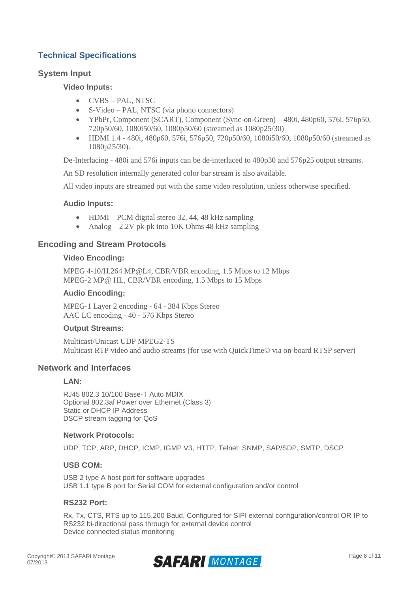## **Technical Specifications**

## **System Input**

#### **Video Inputs:**

- CVBS PAL, NTSC
- S-Video PAL, NTSC (via phono connectors)
- YPbPr, Component (SCART), Component (Sync-on-Green) 480i, 480p60, 576i, 576p50, 720p50/60, 1080i50/60, 1080p50/60 (streamed as 1080p25/30)
- HDMI 1.4 480i, 480p60, 576i, 576p50, 720p50/60, 1080i50/60, 1080p50/60 (streamed as 1080p25/30).

De-Interlacing - 480i and 576i inputs can be de-interlaced to 480p30 and 576p25 output streams.

An SD resolution internally generated color bar stream is also available.

All video inputs are streamed out with the same video resolution, unless otherwise specified.

#### **Audio Inputs:**

- HDMI PCM digital stereo 32, 44, 48 kHz sampling
- Analog 2.2V pk-pk into 10K Ohms 48 kHz sampling

### **Encoding and Stream Protocols**

#### **Video Encoding:**

MPEG 4-10/H.264 MP@L4, CBR/VBR encoding, 1.5 Mbps to 12 Mbps MPEG-2 MP@ HL, CBR/VBR encoding, 1.5 Mbps to 15 Mbps

#### **Audio Encoding:**

MPEG-1 Layer 2 encoding - 64 - 384 Kbps Stereo AAC LC encoding - 40 - 576 Kbps Stereo

#### **Output Streams:**

Multicast/Unicast UDP MPEG2-TS Multicast RTP video and audio streams (for use with QuickTime© via on-board RTSP server)

### **Network and Interfaces**

#### **LAN:**

RJ45 802.3 10/100 Base-T Auto MDIX Optional 802.3af Power over Ethernet (Class 3) Static or DHCP IP Address DSCP stream tagging for QoS

#### **Network Protocols:**

UDP, TCP, ARP, DHCP, ICMP, IGMP V3, HTTP, Telnet, SNMP, SAP/SDP, SMTP, DSCP

#### **USB COM:**

USB 2 type A host port for software upgrades USB 1.1 type B port for Serial COM for external configuration and/or control

#### **RS232 Port:**

Rx, Tx, CTS, RTS up to 115,200 Baud, Configured for SIPI external configuration/control OR IP to RS232 bi-directional pass through for external device control Device connected status monitoring

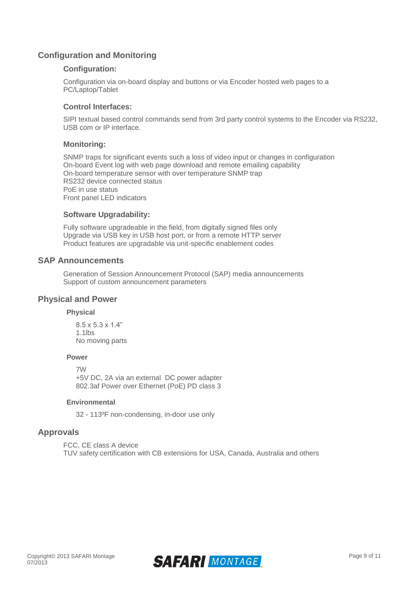## **Configuration and Monitoring**

#### **Configuration:**

Configuration via on-board display and buttons or via Encoder hosted web pages to a PC/Laptop/Tablet

#### **Control Interfaces:**

SIPI textual based control commands send from 3rd party control systems to the Encoder via RS232, USB com or IP interface.

#### **Monitoring:**

SNMP traps for significant events such a loss of video input or changes in configuration On-board Event log with web page download and remote emailing capability On-board temperature sensor with over temperature SNMP trap RS232 device connected status PoE in use status Front panel LED indicators

#### **Software Upgradability:**

Fully software upgradeable in the field, from digitally signed files only Upgrade via USB key in USB host port, or from a remote HTTP server Product features are upgradable via unit-specific enablement codes

#### **SAP Announcements**

Generation of Session Announcement Protocol (SAP) media announcements Support of custom announcement parameters

#### **Physical and Power**

#### **Physical**

8.5 x 5.3 x 1.4" 1.1lbs No moving parts

#### **Power**

7W +5V DC, 2A via an external DC power adapter 802.3af Power over Ethernet (PoE) PD class 3

#### **Environmental**

32 - 113ºF non-condensing, in-door use only

### **Approvals**

FCC, CE class A device TUV safety certification with CB extensions for USA, Canada, Australia and others

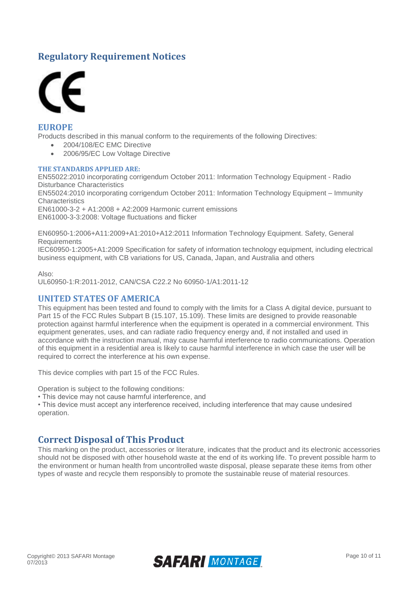# **Regulatory Requirement Notices**



### **EUROPE**

Products described in this manual conform to the requirements of the following Directives:

- 2004/108/EC EMC Directive
	- 2006/95/EC Low Voltage Directive

#### **THE STANDARDS APPLIED ARE:**

EN55022:2010 incorporating corrigendum October 2011: Information Technology Equipment - Radio Disturbance Characteristics

EN55024:2010 incorporating corrigendum October 2011: Information Technology Equipment – Immunity **Characteristics** 

EN61000-3-2 + A1:2008 + A2:2009 Harmonic current emissions EN61000-3-3:2008: Voltage fluctuations and flicker

EN60950-1:2006+A11:2009+A1:2010+A12:2011 Information Technology Equipment. Safety, General **Requirements** 

IEC60950-1:2005+A1:2009 Specification for safety of information technology equipment, including electrical business equipment, with CB variations for US, Canada, Japan, and Australia and others

Also: UL60950-1:R:2011-2012, CAN/CSA C22.2 No 60950-1/A1:2011-12

### **UNITED STATES OF AMERICA**

This equipment has been tested and found to comply with the limits for a Class A digital device, pursuant to Part 15 of the FCC Rules Subpart B (15.107, 15.109). These limits are designed to provide reasonable protection against harmful interference when the equipment is operated in a commercial environment. This equipment generates, uses, and can radiate radio frequency energy and, if not installed and used in accordance with the instruction manual, may cause harmful interference to radio communications. Operation of this equipment in a residential area is likely to cause harmful interference in which case the user will be required to correct the interference at his own expense.

This device complies with part 15 of the FCC Rules.

Operation is subject to the following conditions:

• This device may not cause harmful interference, and

• This device must accept any interference received, including interference that may cause undesired operation.

## **Correct Disposal of This Product**

This marking on the product, accessories or literature, indicates that the product and its electronic accessories should not be disposed with other household waste at the end of its working life. To prevent possible harm to the environment or human health from uncontrolled waste disposal, please separate these items from other types of waste and recycle them responsibly to promote the sustainable reuse of material resources.